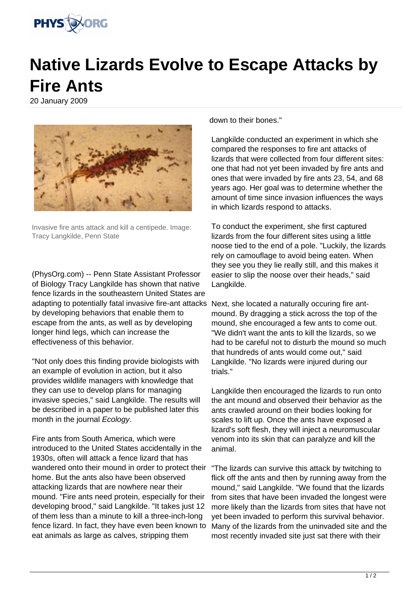

## **Native Lizards Evolve to Escape Attacks by Fire Ants**

20 January 2009



Invasive fire ants attack and kill a centipede. Image: Tracy Langkilde, Penn State

(PhysOrg.com) -- Penn State Assistant Professor of Biology Tracy Langkilde has shown that native fence lizards in the southeastern United States are adapting to potentially fatal invasive fire-ant attacks Next, she located a naturally occuring fire antby developing behaviors that enable them to escape from the ants, as well as by developing longer hind legs, which can increase the effectiveness of this behavior.

"Not only does this finding provide biologists with an example of evolution in action, but it also provides wildlife managers with knowledge that they can use to develop plans for managing invasive species," said Langkilde. The results will be described in a paper to be published later this month in the journal Ecology.

Fire ants from South America, which were introduced to the United States accidentally in the 1930s, often will attack a fence lizard that has wandered onto their mound in order to protect their home. But the ants also have been observed attacking lizards that are nowhere near their mound. "Fire ants need protein, especially for their developing brood," said Langkilde. "It takes just 12 of them less than a minute to kill a three-inch-long fence lizard. In fact, they have even been known to eat animals as large as calves, stripping them

down to their bones."

Langkilde conducted an experiment in which she compared the responses to fire ant attacks of lizards that were collected from four different sites: one that had not yet been invaded by fire ants and ones that were invaded by fire ants 23, 54, and 68 years ago. Her goal was to determine whether the amount of time since invasion influences the ways in which lizards respond to attacks.

To conduct the experiment, she first captured lizards from the four different sites using a little noose tied to the end of a pole. "Luckily, the lizards rely on camouflage to avoid being eaten. When they see you they lie really still, and this makes it easier to slip the noose over their heads," said Langkilde.

mound. By dragging a stick across the top of the mound, she encouraged a few ants to come out. "We didn't want the ants to kill the lizards, so we had to be careful not to disturb the mound so much that hundreds of ants would come out," said Langkilde. "No lizards were injured during our trials."

Langkilde then encouraged the lizards to run onto the ant mound and observed their behavior as the ants crawled around on their bodies looking for scales to lift up. Once the ants have exposed a lizard's soft flesh, they will inject a neuromuscular venom into its skin that can paralyze and kill the animal.

"The lizards can survive this attack by twitching to flick off the ants and then by running away from the mound," said Langkilde. "We found that the lizards from sites that have been invaded the longest were more likely than the lizards from sites that have not yet been invaded to perform this survival behavior. Many of the lizards from the uninvaded site and the most recently invaded site just sat there with their